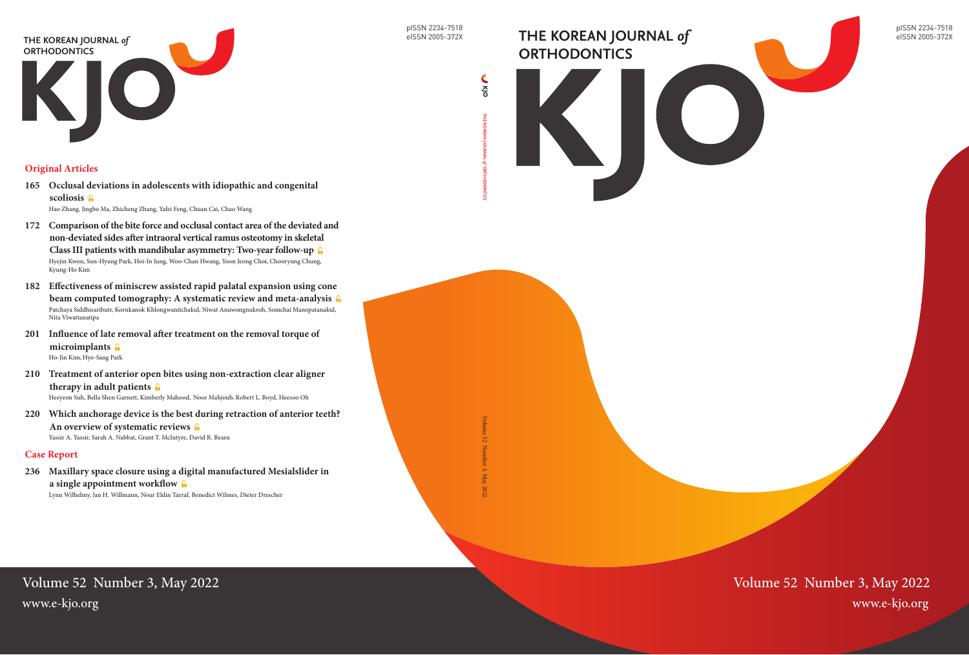pISSN 2234-7518 eISSN 2005-372X



pISSN 2234-7518 eISSN 2005-372X

Volume 52 Number 3, May 2022

# **THE KOREAN JOURNAL** *of*  **ORTHODONTICS**



## **Original Articles**

- **165 [Occlusal deviations in adolescents with idiopathic and congenital](#page-0-0)  [scoliosis](#page-0-0)**  [Hao Zhang](#page-0-0), [Jingbo Ma](#page-0-0), [Zhicheng Zhang](#page-0-0), [Yafei Feng,](#page-0-0) [Chuan Cai](#page-0-0), [Chao Wang](#page-0-0)
- **[172 Comparison of the bite force and occlusal contact area of the deviated and](#page-0-0)  [non-deviated sides after intraoral vertical ramus osteotomy in skeletal](#page-0-0)  [Class III patients with mandibular asymmetry: Two-year follow-up](#page-0-0)**  [Hyejin Kwon](#page-0-0), [Sun-Hyung Park, Hoi-In Jung](#page-0-0), [Woo-Chan Hwang](#page-0-0), [Yoon Jeong Choi](#page-0-0), [Chooryung Chung,](#page-0-0) [Kyung-Ho Kim](#page-0-0)
- **[182 Effectiveness of miniscrew assisted rapid palatal expansion using cone](#page-0-0)  [beam computed tomography: A systematic review and meta-analysis](#page-0-0)**  [Patchaya Siddhisaributr](#page-0-0), [Kornkanok Khlongwanitchakul](#page-0-0), [Niwat Anuwongnukroh](#page-0-0), [Somchai Manopatanakul,](#page-0-0) [Nita Viwattanatipa](#page-0-0)
- **201 [Influence of late removal after treatment on the removal torque of](#page-0-0)  [microimplants](#page-0-0)**  [Ho-Jin Kim](#page-0-0),[Hyo-Sang Park](#page-0-0)
- **[210 Treatment of anterior open bites using non-extraction clear aligner](#page-0-0)  [therapy in adult patients](#page-0-0)**  [Heeyeon Suh,](#page-0-0) [Bella Shen Garnett](#page-0-0), [Kimberly Mahood](#page-0-0), [Noor Mahjoub,](#page-0-0) [Robert L. Boyd](#page-0-0), [Heesoo Oh](#page-0-0)
- **220 [Which anchorage device is the best during retraction of anterior teeth?](#page-0-0)  [An overview of systematic reviews](#page-0-0)**  [Yassir A. Yassir](#page-0-0), [Sarah A. Nabbat, Grant T. McIntyre, David R. Bearn](#page-0-0)

THE KOREAN JOURNAL of ORTHODONTICS **ORTHODONTICS**

## <span id="page-0-0"></span>Volume 52 Number 3, May 2022 www.e-kjo.org www.e-kjo.org

## **Case Report**

**236 [Maxillary space closure using a digital manufactured Mesialslider in](#page-0-0)  [a single appointment workflow](#page-0-0)**  [Lynn Wilhelmy, Jan H. Willmann](#page-0-0), [Nour Eldin Tarraf, Benedict Wilmes](#page-0-0), [Dieter Drescher](#page-0-0)

**THE KOREAN JOURNAL** 

*of* 

**ORTHODONTICS**

Volume 52 Number 3, May 2022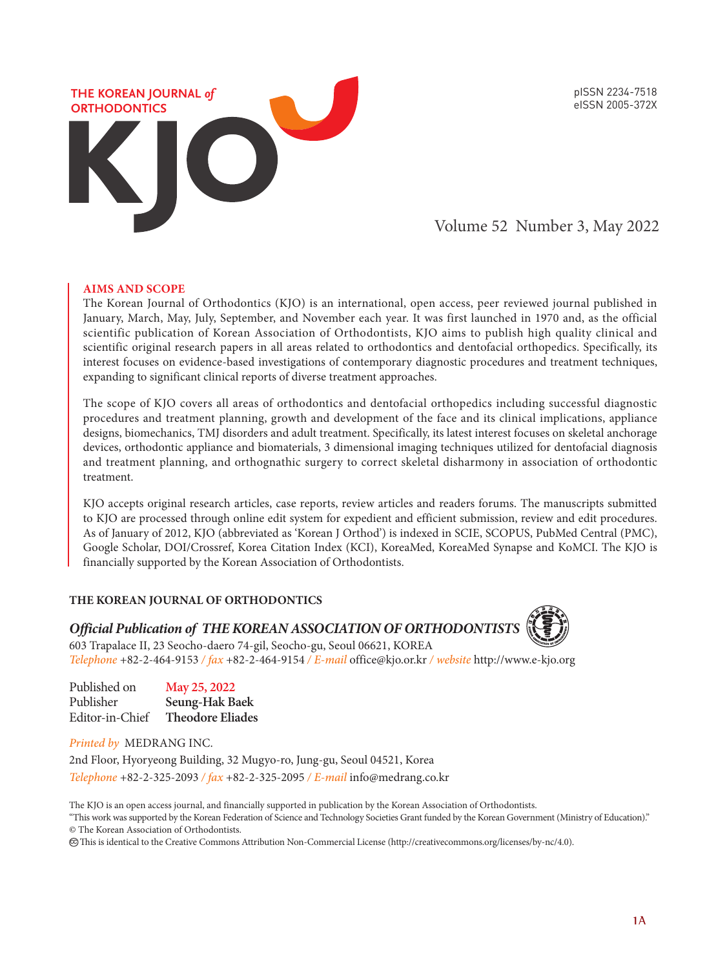pISSN 2234-7518 eISSN 2005-372X



Volume 52 Number 3, May 2022

#### **AIMS AND SCOPE**

The Korean Journal of Orthodontics (KJO) is an international, open access, peer reviewed journal published in January, March, May, July, September, and November each year. It was first launched in 1970 and, as the official scientific publication of Korean Association of Orthodontists, KJO aims to publish high quality clinical and scientific original research papers in all areas related to orthodontics and dentofacial orthopedics. Specifically, its interest focuses on evidence-based investigations of contemporary diagnostic procedures and treatment techniques, expanding to significant clinical reports of diverse treatment approaches.

The scope of KJO covers all areas of orthodontics and dentofacial orthopedics including successful diagnostic procedures and treatment planning, growth and development of the face and its clinical implications, appliance designs, biomechanics, TMJ disorders and adult treatment. Specifically, its latest interest focuses on skeletal anchorage devices, orthodontic appliance and biomaterials, 3 dimensional imaging techniques utilized for dentofacial diagnosis and treatment planning, and orthognathic surgery to correct skeletal disharmony in association of orthodontic treatment.

KJO accepts original research articles, case reports, review articles and readers forums. The manuscripts submitted to KJO are processed through online edit system for expedient and efficient submission, review and edit procedures. As of January of 2012, KJO (abbreviated as 'Korean J Orthod') is indexed in SCIE, SCOPUS, PubMed Central (PMC), Google Scholar, DOI/Crossref, Korea Citation Index (KCI), KoreaMed, KoreaMed Synapse and KoMCI. The KJO is financially supported by the Korean Association of Orthodontists.

#### **THE KOREAN JOURNAL OF ORTHODONTICS**



*Official Publication of THE KOREAN ASSOCIATION OF ORTHODONTISTS*

603 Trapalace II, 23 Seocho-daero 74-gil, Seocho-gu, Seoul 06621, KOREA *Telephone* +82-2-464-9153 */ fax* +82-2-464-9154 */ E-mail* office@kjo.or.kr */ website* http://www.e-kjo.org

| Published on    | May 25, 2022            |
|-----------------|-------------------------|
| Publisher       | Seung-Hak Baek          |
| Editor-in-Chief | <b>Theodore Eliades</b> |

*Printed by* MEDRANG INC.

2nd Floor, Hyoryeong Building, 32 Mugyo-ro, Jung-gu, Seoul 04521, Korea *Telephone* +82-2-325-2093 */ fax* +82-2-325-2095 */ E-mail* info@medrang.co.kr

The KJO is an open access journal, and financially supported in publication by the Korean Association of Orthodontists. "This work was supported by the Korean Federation of Science and Technology Societies Grant funded by the Korean Government (Ministry of Education)." © The Korean Association of Orthodontists.

This is identical to the Creative Commons Attribution Non-Commercial License (http://creativecommons.org/licenses/by-nc/4.0). cc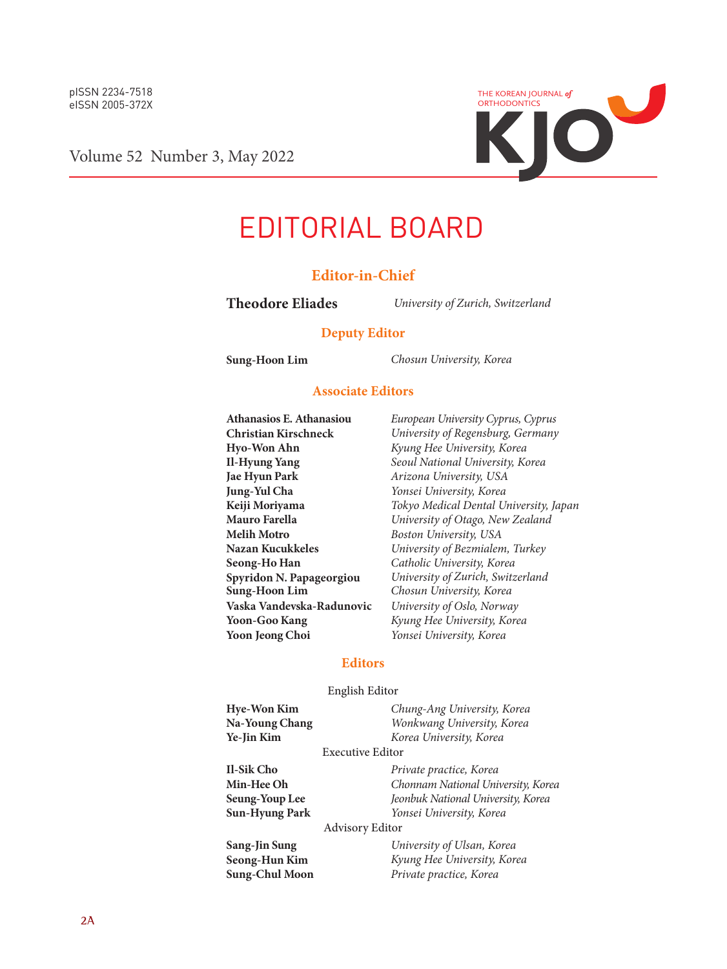

Volume 52 Number 3, May 2022

# EDITORIAL BOARD

## **Editor-in-Chief**

**Theodore Eliades** *University of Zurich, Switzerland*

#### **Deputy Editor**

**Sung-Hoon Lim** *Chosun University, Korea*

#### **Associate Editors**

**Hyo-Won Ahn** *Kyung Hee University, Korea* **Jung-Yul Cha** *Yonsei University, Korea* **Seong-Ho Han** *Catholic University, Korea* **Vaska Vandevska-Radunovic** *University of Oslo, Norway* **Yoon-Goo Kang** *Kyung Hee University, Korea*

**Athanasios E. Athanasiou** *European University Cyprus, Cyprus* **Christian Kirschneck** *University of Regensburg, Germany* **Il-Hyung Yang** *Seoul National University, Korea*  $A$ rizona University, USA **Keiji Moriyama** *Tokyo Medical Dental University, Japan* **Mauro Farella** *University of Otago, New Zealand* **Melih Motro** *Boston University, USA* **Nazan Kucukkeles** *University of Bezmialem, Turkey* **Spyridon N. Papageorgiou** *University of Zurich, Switzerland* **Sung-Hoon Lim** *Chosun University, Korea* **Yoon Jeong Choi** *Yonsei University, Korea*

#### **Editors**

#### English Editor

**Hye-Won Kim** *Chung-Ang University, Korea* **Na-Young Chang** *Wonkwang University, Korea* **Ye-Jin Kim** *Korea University, Korea*

#### Executive Editor

**Il-Sik Cho** *Private practice, Korea* **Min-Hee Oh** *Chonnam National University, Korea* Jeonbuk National University, Korea **Sun-Hyung Park** *Yonsei University, Korea*

#### Advisory Editor

**Sang-Jin Sung** *University of Ulsan, Korea* **Seong-Hun Kim** *Kyung Hee University, Korea* **Sung-Chul Moon** *Private practice, Korea*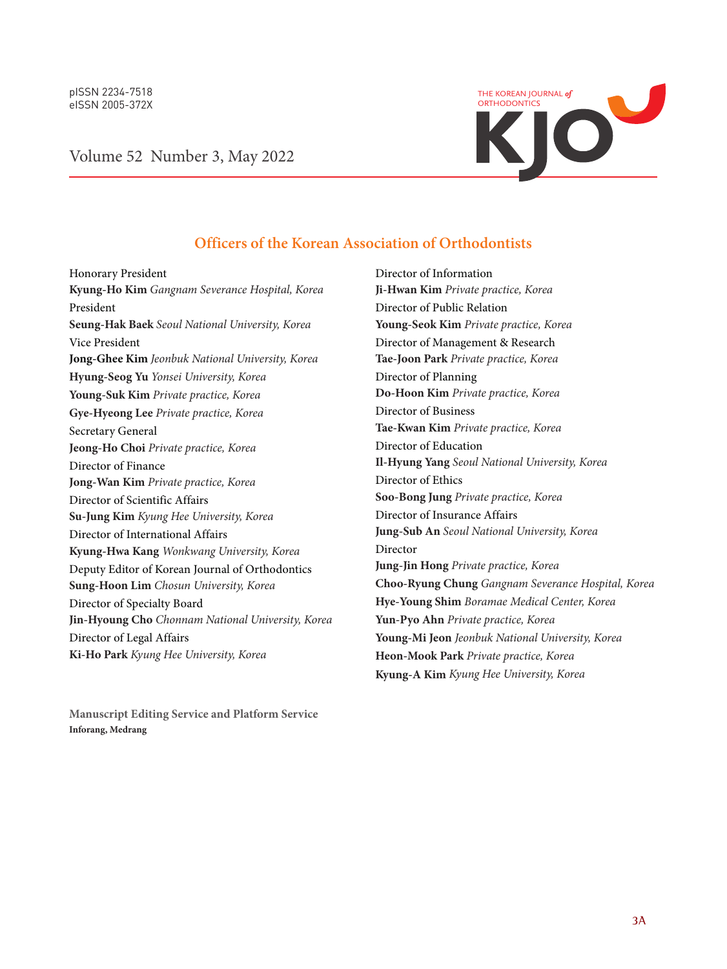

## Volume 52 Number 3, May 2022

## **Officers of the Korean Association of Orthodontists**

Director of Information

Honorary President **Kyung-Ho Kim** *Gangnam Severance Hospital, Korea* President **Seung-Hak Baek** *Seoul National University, Korea* Vice President **Jong-Ghee Kim** *Jeonbuk National University, Korea* **Hyung-Seog Yu** *Yonsei University, Korea* **Young-Suk Kim** *Private practice, Korea* **Gye-Hyeong Lee** *Private practice, Korea* Secretary General **Jeong-Ho Choi** *Private practice, Korea* Director of Finance **Jong-Wan Kim** *Private practice, Korea* Director of Scientific Affairs **Su-Jung Kim** *Kyung Hee University, Korea* Director of International Affairs **Kyung-Hwa Kang** *Wonkwang University, Korea* Deputy Editor of Korean Journal of Orthodontics **Sung-Hoon Lim** *Chosun University, Korea* Director of Specialty Board **Jin-Hyoung Cho** *Chonnam National University, Korea* Director of Legal Affairs **Ki-Ho Park** *Kyung Hee University, Korea*

**Ji-Hwan Kim** *Private practice, Korea* Director of Public Relation **Young-Seok Kim** *Private practice, Korea* Director of Management & Research **Tae-Joon Park** *Private practice, Korea* Director of Planning **Do-Hoon Kim** *Private practice, Korea* Director of Business **Tae-Kwan Kim** *Private practice, Korea* Director of Education **Il-Hyung Yang** *Seoul National University, Korea* Director of Ethics **Soo-Bong Jung** *Private practice, Korea* Director of Insurance Affairs **Jung-Sub An** *Seoul National University, Korea* Director **Jung-Jin Hong** *Private practice, Korea* **Choo-Ryung Chung** *Gangnam Severance Hospital, Korea* **Hye-Young Shim** *Boramae Medical Center, Korea* **Yun-Pyo Ahn** *Private practice, Korea* **Young-Mi Jeon** *Jeonbuk National University, Korea* **Heon-Mook Park** *Private practice, Korea* **Kyung-A Kim** *Kyung Hee University, Korea*

**Manuscript Editing Service and Platform Service Inforang, Medrang**